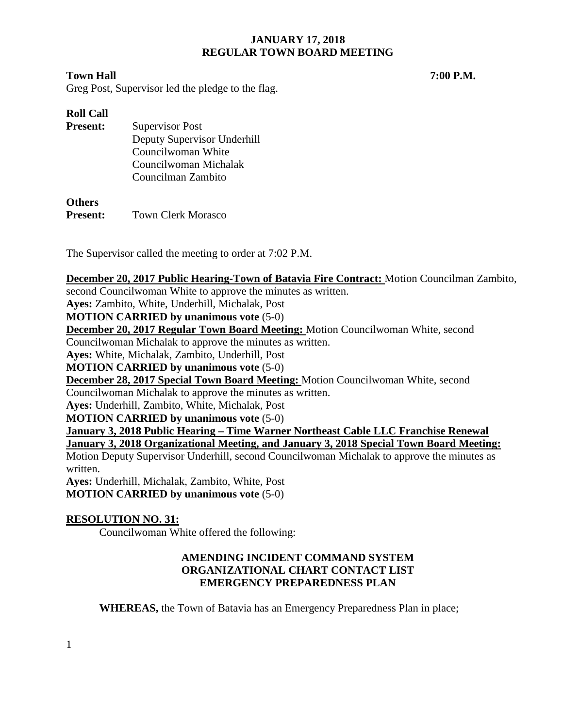## **Town Hall 7:00 P.M.**

Greg Post, Supervisor led the pledge to the flag.

# **Roll Call**

| <b>Present:</b> | <b>Supervisor Post</b>      |
|-----------------|-----------------------------|
|                 | Deputy Supervisor Underhill |
|                 | Councilwoman White          |
|                 | Councilwoman Michalak       |
|                 | Councilman Zambito          |

## **Others**

**Present:** Town Clerk Morasco

The Supervisor called the meeting to order at 7:02 P.M.

**December 20, 2017 Public Hearing-Town of Batavia Fire Contract:** Motion Councilman Zambito,

second Councilwoman White to approve the minutes as written.

**Ayes:** Zambito, White, Underhill, Michalak, Post

**MOTION CARRIED by unanimous vote** (5-0)

**December 20, 2017 Regular Town Board Meeting:** Motion Councilwoman White, second

Councilwoman Michalak to approve the minutes as written.

**Ayes:** White, Michalak, Zambito, Underhill, Post

**MOTION CARRIED by unanimous vote** (5-0)

**December 28, 2017 Special Town Board Meeting:** Motion Councilwoman White, second

Councilwoman Michalak to approve the minutes as written.

**Ayes:** Underhill, Zambito, White, Michalak, Post

**MOTION CARRIED by unanimous vote** (5-0)

**January 3, 2018 Public Hearing – Time Warner Northeast Cable LLC Franchise Renewal**

**January 3, 2018 Organizational Meeting, and January 3, 2018 Special Town Board Meeting:** 

Motion Deputy Supervisor Underhill, second Councilwoman Michalak to approve the minutes as written.

**Ayes:** Underhill, Michalak, Zambito, White, Post **MOTION CARRIED by unanimous vote** (5-0)

# **RESOLUTION NO. 31:**

Councilwoman White offered the following:

# **AMENDING INCIDENT COMMAND SYSTEM ORGANIZATIONAL CHART CONTACT LIST EMERGENCY PREPAREDNESS PLAN**

**WHEREAS,** the Town of Batavia has an Emergency Preparedness Plan in place;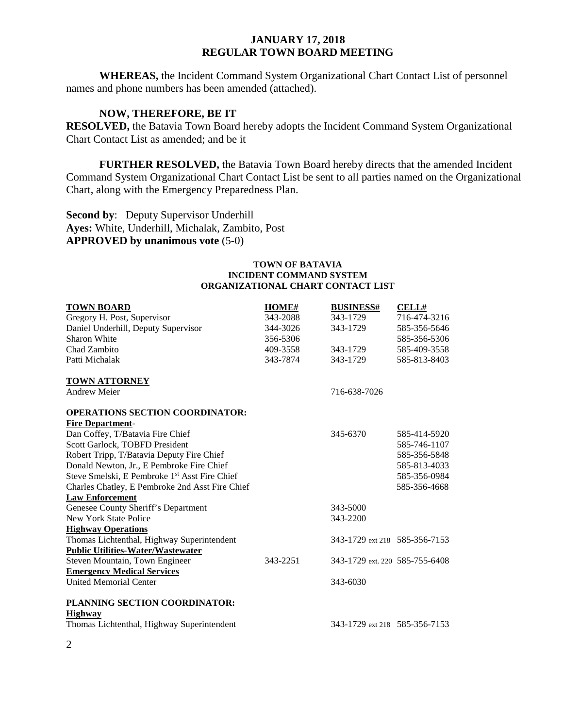**WHEREAS,** the Incident Command System Organizational Chart Contact List of personnel names and phone numbers has been amended (attached).

## **NOW, THEREFORE, BE IT**

**RESOLVED,** the Batavia Town Board hereby adopts the Incident Command System Organizational Chart Contact List as amended; and be it

**FURTHER RESOLVED,** the Batavia Town Board hereby directs that the amended Incident Command System Organizational Chart Contact List be sent to all parties named on the Organizational Chart, along with the Emergency Preparedness Plan.

**Second by:** Deputy Supervisor Underhill **Ayes:** White, Underhill, Michalak, Zambito, Post **APPROVED by unanimous vote** (5-0)

#### **TOWN OF BATAVIA INCIDENT COMMAND SYSTEM ORGANIZATIONAL CHART CONTACT LIST**

| <b>TOWN BOARD</b>                               | <b>HOME#</b> | <b>BUSINESS#</b>               | <b>CELL#</b> |
|-------------------------------------------------|--------------|--------------------------------|--------------|
| Gregory H. Post, Supervisor                     | 343-2088     | 343-1729                       | 716-474-3216 |
| Daniel Underhill, Deputy Supervisor             | 344-3026     | 343-1729                       | 585-356-5646 |
| Sharon White                                    | 356-5306     |                                | 585-356-5306 |
| Chad Zambito                                    | 409-3558     | 343-1729                       | 585-409-3558 |
| Patti Michalak                                  | 343-7874     | 343-1729                       | 585-813-8403 |
| <b>TOWN ATTORNEY</b>                            |              |                                |              |
| <b>Andrew Meier</b>                             |              | 716-638-7026                   |              |
| <b>OPERATIONS SECTION COORDINATOR:</b>          |              |                                |              |
| <b>Fire Department-</b>                         |              |                                |              |
| Dan Coffey, T/Batavia Fire Chief                |              | 345-6370                       | 585-414-5920 |
| Scott Garlock, TOBFD President                  |              |                                | 585-746-1107 |
| Robert Tripp, T/Batavia Deputy Fire Chief       |              |                                | 585-356-5848 |
| Donald Newton, Jr., E Pembroke Fire Chief       |              |                                | 585-813-4033 |
| Steve Smelski, E Pembroke 1st Asst Fire Chief   |              |                                | 585-356-0984 |
| Charles Chatley, E Pembroke 2nd Asst Fire Chief |              |                                | 585-356-4668 |
| <b>Law Enforcement</b>                          |              |                                |              |
| Genesee County Sheriff's Department             |              | 343-5000                       |              |
| New York State Police                           |              | 343-2200                       |              |
| <b>Highway Operations</b>                       |              |                                |              |
| Thomas Lichtenthal, Highway Superintendent      |              | 343-1729 ext 218 585-356-7153  |              |
| <b>Public Utilities-Water/Wastewater</b>        |              |                                |              |
| Steven Mountain, Town Engineer                  | 343-2251     | 343-1729 ext. 220 585-755-6408 |              |
| <b>Emergency Medical Services</b>               |              |                                |              |
| <b>United Memorial Center</b>                   |              | 343-6030                       |              |
| PLANNING SECTION COORDINATOR:                   |              |                                |              |
| <b>Highway</b>                                  |              |                                |              |
| Thomas Lichtenthal, Highway Superintendent      |              | 343-1729 ext 218 585-356-7153  |              |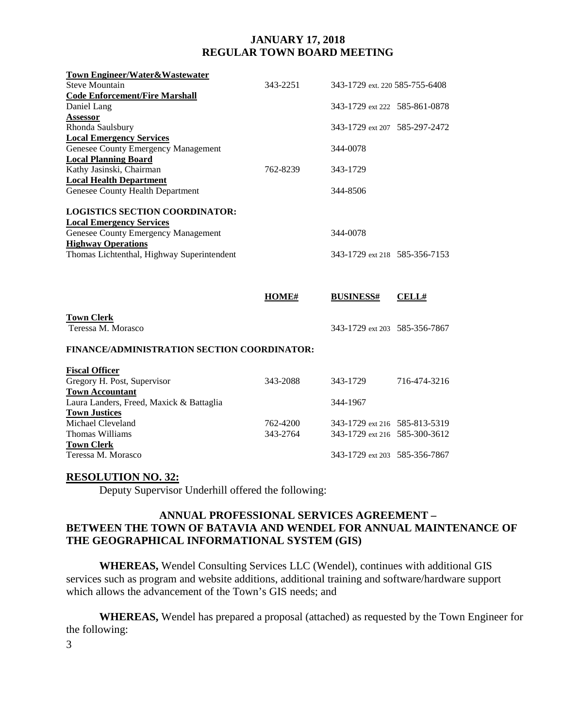| <b>Town Engineer/Water&amp;Wastewater</b>   |          |                                |              |
|---------------------------------------------|----------|--------------------------------|--------------|
| <b>Steve Mountain</b>                       | 343-2251 | 343-1729 ext. 220 585-755-6408 |              |
| <b>Code Enforcement/Fire Marshall</b>       |          |                                |              |
| Daniel Lang                                 |          | 343-1729 ext 222 585-861-0878  |              |
| <b>Assessor</b>                             |          |                                |              |
| Rhonda Saulsbury                            |          | 343-1729 ext 207 585-297-2472  |              |
| <b>Local Emergency Services</b>             |          |                                |              |
| Genesee County Emergency Management         |          | 344-0078                       |              |
| <b>Local Planning Board</b>                 |          |                                |              |
| Kathy Jasinski, Chairman                    | 762-8239 | 343-1729                       |              |
| <b>Local Health Department</b>              |          |                                |              |
| Genesee County Health Department            |          | 344-8506                       |              |
|                                             |          |                                |              |
| <b>LOGISTICS SECTION COORDINATOR:</b>       |          |                                |              |
| <b>Local Emergency Services</b>             |          |                                |              |
| Genesee County Emergency Management         |          | 344-0078                       |              |
| <b>Highway Operations</b>                   |          |                                |              |
| Thomas Lichtenthal, Highway Superintendent  |          | 343-1729 ext 218 585-356-7153  |              |
|                                             |          |                                |              |
|                                             |          |                                |              |
|                                             |          |                                |              |
|                                             |          |                                |              |
|                                             | HOME#    | <b>BUSINESS#</b>               | <b>CELL#</b> |
|                                             |          |                                |              |
| <b>Town Clerk</b>                           |          |                                |              |
| Teressa M. Morasco                          |          | 343-1729 ext 203 585-356-7867  |              |
|                                             |          |                                |              |
| FINANCE/ADMINISTRATION SECTION COORDINATOR: |          |                                |              |
|                                             |          |                                |              |
| <b>Fiscal Officer</b>                       |          |                                |              |
| Gregory H. Post, Supervisor                 | 343-2088 | 343-1729                       | 716-474-3216 |
| <b>Town Accountant</b>                      |          |                                |              |
| Laura Landers, Freed, Maxick & Battaglia    |          | 344-1967                       |              |
| <b>Town Justices</b><br>Michael Cleveland   |          |                                |              |
| Thomas Williams                             | 762-4200 | 343-1729 ext 216 585-813-5319  |              |
| <b>Town Clerk</b>                           | 343-2764 | 343-1729 ext 216 585-300-3612  |              |

## **RESOLUTION NO. 32:**

Deputy Supervisor Underhill offered the following:

# **ANNUAL PROFESSIONAL SERVICES AGREEMENT – BETWEEN THE TOWN OF BATAVIA AND WENDEL FOR ANNUAL MAINTENANCE OF THE GEOGRAPHICAL INFORMATIONAL SYSTEM (GIS)**

**WHEREAS,** Wendel Consulting Services LLC (Wendel), continues with additional GIS services such as program and website additions, additional training and software/hardware support which allows the advancement of the Town's GIS needs; and

**WHEREAS,** Wendel has prepared a proposal (attached) as requested by the Town Engineer for the following:

3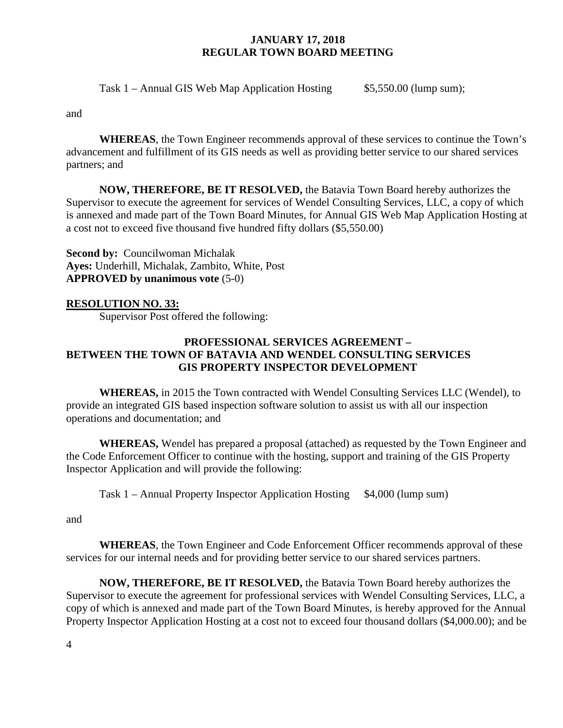Task 1 – Annual GIS Web Map Application Hosting  $$5,550.00$  (lump sum);

and

**WHEREAS**, the Town Engineer recommends approval of these services to continue the Town's advancement and fulfillment of its GIS needs as well as providing better service to our shared services partners; and

**NOW, THEREFORE, BE IT RESOLVED,** the Batavia Town Board hereby authorizes the Supervisor to execute the agreement for services of Wendel Consulting Services, LLC, a copy of which is annexed and made part of the Town Board Minutes, for Annual GIS Web Map Application Hosting at a cost not to exceed five thousand five hundred fifty dollars (\$5,550.00)

**Second by:** Councilwoman Michalak **Ayes:** Underhill, Michalak, Zambito, White, Post **APPROVED by unanimous vote** (5-0)

# **RESOLUTION NO. 33:**

Supervisor Post offered the following:

# **PROFESSIONAL SERVICES AGREEMENT – BETWEEN THE TOWN OF BATAVIA AND WENDEL CONSULTING SERVICES GIS PROPERTY INSPECTOR DEVELOPMENT**

**WHEREAS,** in 2015 the Town contracted with Wendel Consulting Services LLC (Wendel), to provide an integrated GIS based inspection software solution to assist us with all our inspection operations and documentation; and

**WHEREAS,** Wendel has prepared a proposal (attached) as requested by the Town Engineer and the Code Enforcement Officer to continue with the hosting, support and training of the GIS Property Inspector Application and will provide the following:

Task 1 – Annual Property Inspector Application Hosting \$4,000 (lump sum)

and

**WHEREAS**, the Town Engineer and Code Enforcement Officer recommends approval of these services for our internal needs and for providing better service to our shared services partners.

**NOW, THEREFORE, BE IT RESOLVED,** the Batavia Town Board hereby authorizes the Supervisor to execute the agreement for professional services with Wendel Consulting Services, LLC, a copy of which is annexed and made part of the Town Board Minutes, is hereby approved for the Annual Property Inspector Application Hosting at a cost not to exceed four thousand dollars (\$4,000.00); and be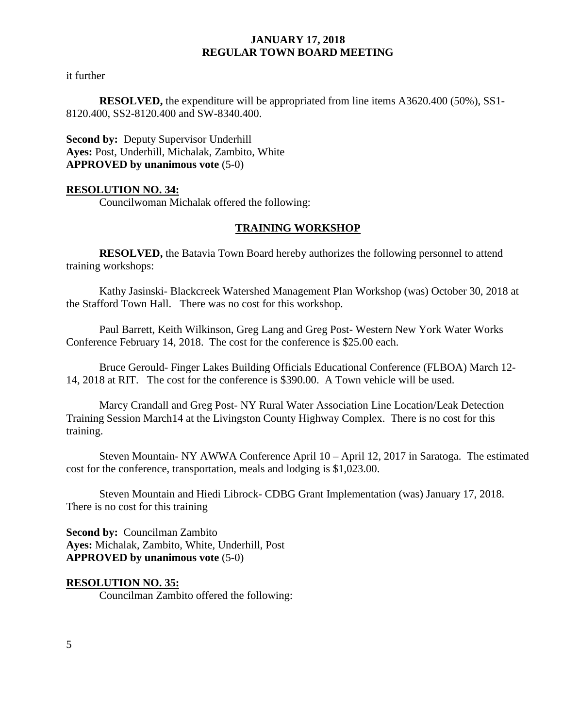it further

**RESOLVED,** the expenditure will be appropriated from line items A3620.400 (50%), SS1- 8120.400, SS2-8120.400 and SW-8340.400.

**Second by: Deputy Supervisor Underhill Ayes:** Post, Underhill, Michalak, Zambito, White **APPROVED by unanimous vote** (5-0)

## **RESOLUTION NO. 34:**

Councilwoman Michalak offered the following:

## **TRAINING WORKSHOP**

**RESOLVED,** the Batavia Town Board hereby authorizes the following personnel to attend training workshops:

Kathy Jasinski- Blackcreek Watershed Management Plan Workshop (was) October 30, 2018 at the Stafford Town Hall. There was no cost for this workshop.

Paul Barrett, Keith Wilkinson, Greg Lang and Greg Post- Western New York Water Works Conference February 14, 2018. The cost for the conference is \$25.00 each.

Bruce Gerould- Finger Lakes Building Officials Educational Conference (FLBOA) March 12- 14, 2018 at RIT. The cost for the conference is \$390.00. A Town vehicle will be used.

Marcy Crandall and Greg Post- NY Rural Water Association Line Location/Leak Detection Training Session March14 at the Livingston County Highway Complex. There is no cost for this training.

Steven Mountain- NY AWWA Conference April 10 – April 12, 2017 in Saratoga. The estimated cost for the conference, transportation, meals and lodging is \$1,023.00.

Steven Mountain and Hiedi Librock- CDBG Grant Implementation (was) January 17, 2018. There is no cost for this training

**Second by:** Councilman Zambito **Ayes:** Michalak, Zambito, White, Underhill, Post **APPROVED by unanimous vote** (5-0)

#### **RESOLUTION NO. 35:**

Councilman Zambito offered the following: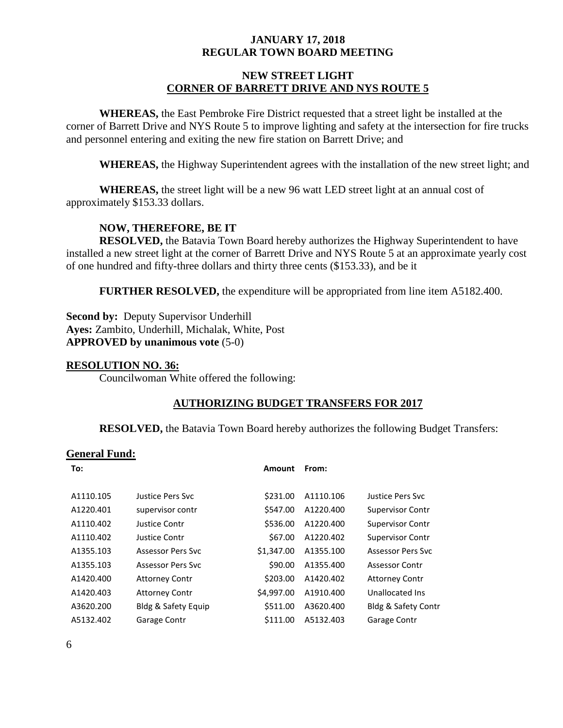## **NEW STREET LIGHT CORNER OF BARRETT DRIVE AND NYS ROUTE 5**

**WHEREAS,** the East Pembroke Fire District requested that a street light be installed at the corner of Barrett Drive and NYS Route 5 to improve lighting and safety at the intersection for fire trucks and personnel entering and exiting the new fire station on Barrett Drive; and

**WHEREAS,** the Highway Superintendent agrees with the installation of the new street light; and

**WHEREAS,** the street light will be a new 96 watt LED street light at an annual cost of approximately \$153.33 dollars.

# **NOW, THEREFORE, BE IT**

**RESOLVED,** the Batavia Town Board hereby authorizes the Highway Superintendent to have installed a new street light at the corner of Barrett Drive and NYS Route 5 at an approximate yearly cost of one hundred and fifty-three dollars and thirty three cents (\$153.33), and be it

**FURTHER RESOLVED,** the expenditure will be appropriated from line item A5182.400.

**Second by: Deputy Supervisor Underhill Ayes:** Zambito, Underhill, Michalak, White, Post **APPROVED by unanimous vote** (5-0)

#### **RESOLUTION NO. 36:**

Councilwoman White offered the following:

## **AUTHORIZING BUDGET TRANSFERS FOR 2017**

**RESOLVED,** the Batavia Town Board hereby authorizes the following Budget Transfers:

#### **General Fund:**

| To:       |                          | <b>Amount</b> | From:     |                                |
|-----------|--------------------------|---------------|-----------|--------------------------------|
| A1110.105 | Justice Pers Svc         | \$231.00      | A1110.106 | Justice Pers Svc               |
| A1220.401 | supervisor contr         | \$547.00      | A1220.400 | Supervisor Contr               |
| A1110.402 | Justice Contr            | \$536.00      | A1220.400 | Supervisor Contr               |
| A1110.402 | Justice Contr            | \$67.00       | A1220.402 | <b>Supervisor Contr</b>        |
| A1355.103 | <b>Assessor Pers Syc</b> | \$1,347.00    | A1355.100 | <b>Assessor Pers Svc</b>       |
| A1355.103 | <b>Assessor Pers Syc</b> | \$90.00       | A1355.400 | <b>Assessor Contr</b>          |
| A1420.400 | <b>Attorney Contr</b>    | \$203.00      | A1420.402 | <b>Attorney Contr</b>          |
| A1420.403 | <b>Attorney Contr</b>    | \$4,997.00    | A1910.400 | Unallocated Ins                |
| A3620.200 | Bldg & Safety Equip      | \$511.00      | A3620.400 | <b>Bldg &amp; Safety Contr</b> |
| A5132.402 | Garage Contr             | \$111.00      | A5132.403 | Garage Contr                   |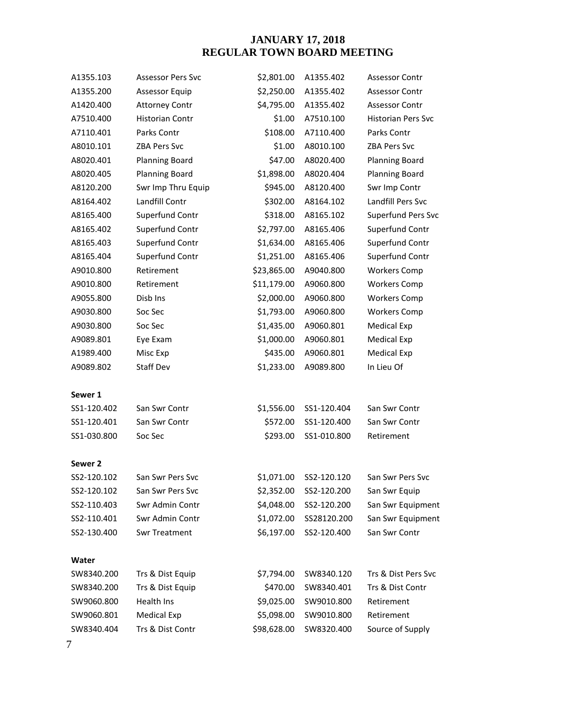| A1355.103   | <b>Assessor Pers Svc</b> | \$2,801.00  | A1355.402   | <b>Assessor Contr</b>     |
|-------------|--------------------------|-------------|-------------|---------------------------|
| A1355.200   | <b>Assessor Equip</b>    | \$2,250.00  | A1355.402   | <b>Assessor Contr</b>     |
| A1420.400   | <b>Attorney Contr</b>    | \$4,795.00  | A1355.402   | <b>Assessor Contr</b>     |
| A7510.400   | Historian Contr          | \$1.00      | A7510.100   | <b>Historian Pers Svc</b> |
| A7110.401   | Parks Contr              | \$108.00    | A7110.400   | Parks Contr               |
| A8010.101   | <b>ZBA Pers Svc</b>      | \$1.00      | A8010.100   | <b>ZBA Pers Svc</b>       |
| A8020.401   | <b>Planning Board</b>    | \$47.00     | A8020.400   | <b>Planning Board</b>     |
| A8020.405   | <b>Planning Board</b>    | \$1,898.00  | A8020.404   | <b>Planning Board</b>     |
| A8120.200   | Swr Imp Thru Equip       | \$945.00    | A8120.400   | Swr Imp Contr             |
| A8164.402   | Landfill Contr           | \$302.00    | A8164.102   | Landfill Pers Svc         |
| A8165.400   | Superfund Contr          | \$318.00    | A8165.102   | Superfund Pers Svc        |
| A8165.402   | Superfund Contr          | \$2,797.00  | A8165.406   | Superfund Contr           |
| A8165.403   | Superfund Contr          | \$1,634.00  | A8165.406   | Superfund Contr           |
| A8165.404   | Superfund Contr          | \$1,251.00  | A8165.406   | Superfund Contr           |
| A9010.800   | Retirement               | \$23,865.00 | A9040.800   | <b>Workers Comp</b>       |
| A9010.800   | Retirement               | \$11,179.00 | A9060.800   | <b>Workers Comp</b>       |
| A9055.800   | Disb Ins                 | \$2,000.00  | A9060.800   | <b>Workers Comp</b>       |
| A9030.800   | Soc Sec                  | \$1,793.00  | A9060.800   | <b>Workers Comp</b>       |
| A9030.800   | Soc Sec                  | \$1,435.00  | A9060.801   | <b>Medical Exp</b>        |
| A9089.801   | Eye Exam                 | \$1,000.00  | A9060.801   | Medical Exp               |
| A1989.400   | Misc Exp                 | \$435.00    | A9060.801   | <b>Medical Exp</b>        |
| A9089.802   | <b>Staff Dev</b>         | \$1,233.00  | A9089.800   | In Lieu Of                |
| Sewer 1     |                          |             |             |                           |
| SS1-120.402 | San Swr Contr            | \$1,556.00  | SS1-120.404 | San Swr Contr             |
| SS1-120.401 | San Swr Contr            | \$572.00    | SS1-120.400 | San Swr Contr             |
| SS1-030.800 | Soc Sec                  | \$293.00    | SS1-010.800 | Retirement                |
| Sewer 2     |                          |             |             |                           |
| SS2-120.102 | San Swr Pers Svc         | \$1,071.00  | SS2-120.120 | San Swr Pers Syc          |
| SS2-120.102 | San Swr Pers Svc         | \$2,352.00  | SS2-120.200 | San Swr Equip             |
| SS2-110.403 | Swr Admin Contr          | \$4,048.00  | SS2-120.200 | San Swr Equipment         |
| SS2-110.401 | Swr Admin Contr          | \$1,072.00  | SS28120.200 | San Swr Equipment         |
| SS2-130.400 | <b>Swr Treatment</b>     | \$6,197.00  | SS2-120.400 | San Swr Contr             |
| Water       |                          |             |             |                           |
| SW8340.200  | Trs & Dist Equip         | \$7,794.00  | SW8340.120  | Trs & Dist Pers Svc       |
| SW8340.200  | Trs & Dist Equip         | \$470.00    | SW8340.401  | Trs & Dist Contr          |
| SW9060.800  | Health Ins               | \$9,025.00  | SW9010.800  | Retirement                |
| SW9060.801  | <b>Medical Exp</b>       | \$5,098.00  | SW9010.800  | Retirement                |
| SW8340.404  | Trs & Dist Contr         | \$98,628.00 | SW8320.400  | Source of Supply          |
|             |                          |             |             |                           |

7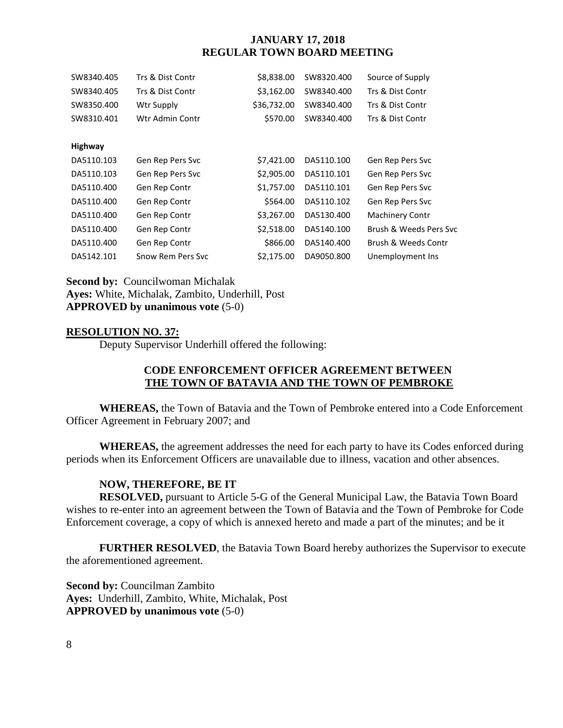| SW8340.405     | Trs & Dist Contr  | \$8,838.00  | SW8320.400 | Source of Supply       |
|----------------|-------------------|-------------|------------|------------------------|
| SW8340.405     | Trs & Dist Contr  | \$3,162.00  | SW8340.400 | Trs & Dist Contr       |
| SW8350.400     | Wtr Supply        | \$36,732.00 | SW8340.400 | Trs & Dist Contr       |
| SW8310.401     | Wtr Admin Contr   | \$570.00    | SW8340.400 | Trs & Dist Contr       |
|                |                   |             |            |                        |
| <b>Highway</b> |                   |             |            |                        |
| DA5110.103     | Gen Rep Pers Svc  | \$7,421.00  | DA5110.100 | Gen Rep Pers Svc       |
| DA5110.103     | Gen Rep Pers Svc  | \$2,905.00  | DA5110.101 | Gen Rep Pers Svc       |
| DA5110.400     | Gen Rep Contr     | \$1,757.00  | DA5110.101 | Gen Rep Pers Svc       |
| DA5110.400     | Gen Rep Contr     | \$564.00    | DA5110.102 | Gen Rep Pers Svc       |
| DA5110.400     | Gen Rep Contr     | \$3,267.00  | DA5130.400 | Machinery Contr        |
| DA5110.400     | Gen Rep Contr     | \$2,518.00  | DA5140.100 | Brush & Weeds Pers Svc |
| DA5110.400     | Gen Rep Contr     | \$866.00    | DA5140.400 | Brush & Weeds Contr    |
| DA5142.101     | Snow Rem Pers Syc | \$2.175.00  | DA9050.800 | Unemployment Ins       |

**Second by: Councilwoman Michalak Ayes:** White, Michalak, Zambito, Underhill, Post **APPROVED by unanimous vote** (5-0)

## **RESOLUTION NO. 37:**

Deputy Supervisor Underhill offered the following:

# **CODE ENFORCEMENT OFFICER AGREEMENT BETWEEN THE TOWN OF BATAVIA AND THE TOWN OF PEMBROKE**

**WHEREAS,** the Town of Batavia and the Town of Pembroke entered into a Code Enforcement Officer Agreement in February 2007; and

**WHEREAS,** the agreement addresses the need for each party to have its Codes enforced during periods when its Enforcement Officers are unavailable due to illness, vacation and other absences.

#### **NOW, THEREFORE, BE IT**

**RESOLVED,** pursuant to Article 5-G of the General Municipal Law, the Batavia Town Board wishes to re-enter into an agreement between the Town of Batavia and the Town of Pembroke for Code Enforcement coverage, a copy of which is annexed hereto and made a part of the minutes; and be it

**FURTHER RESOLVED**, the Batavia Town Board hereby authorizes the Supervisor to execute the aforementioned agreement.

**Second by:** Councilman Zambito **Ayes:** Underhill, Zambito, White, Michalak, Post **APPROVED by unanimous vote** (5-0)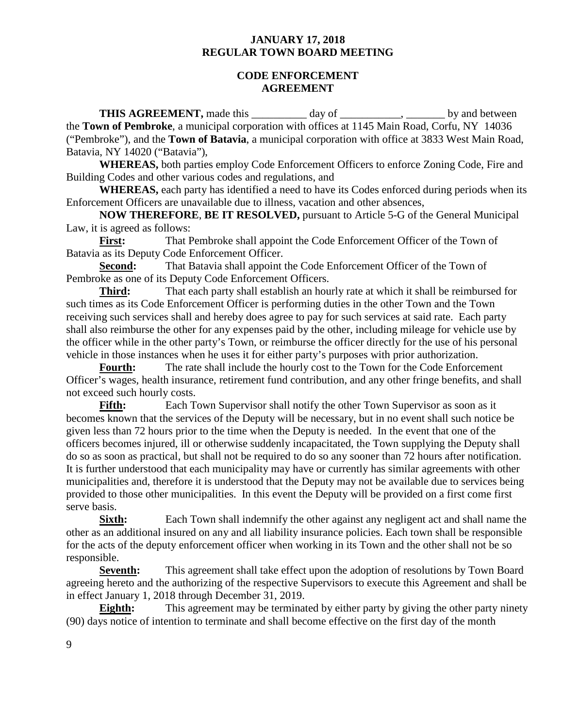### **CODE ENFORCEMENT AGREEMENT**

**THIS AGREEMENT,** made this day of the set of the by and between the **Town of Pembroke**, a municipal corporation with offices at 1145 Main Road, Corfu, NY 14036 ("Pembroke"), and the **Town of Batavia**, a municipal corporation with office at 3833 West Main Road, Batavia, NY 14020 ("Batavia"),

**WHEREAS,** both parties employ Code Enforcement Officers to enforce Zoning Code, Fire and Building Codes and other various codes and regulations, and

**WHEREAS,** each party has identified a need to have its Codes enforced during periods when its Enforcement Officers are unavailable due to illness, vacation and other absences,

**NOW THEREFORE**, **BE IT RESOLVED,** pursuant to Article 5-G of the General Municipal Law, it is agreed as follows:

**First:** That Pembroke shall appoint the Code Enforcement Officer of the Town of Batavia as its Deputy Code Enforcement Officer.

**Second:** That Batavia shall appoint the Code Enforcement Officer of the Town of Pembroke as one of its Deputy Code Enforcement Officers.

**Third:** That each party shall establish an hourly rate at which it shall be reimbursed for such times as its Code Enforcement Officer is performing duties in the other Town and the Town receiving such services shall and hereby does agree to pay for such services at said rate. Each party shall also reimburse the other for any expenses paid by the other, including mileage for vehicle use by the officer while in the other party's Town, or reimburse the officer directly for the use of his personal vehicle in those instances when he uses it for either party's purposes with prior authorization.

**Fourth:** The rate shall include the hourly cost to the Town for the Code Enforcement Officer's wages, health insurance, retirement fund contribution, and any other fringe benefits, and shall not exceed such hourly costs.

**Fifth:** Each Town Supervisor shall notify the other Town Supervisor as soon as it becomes known that the services of the Deputy will be necessary, but in no event shall such notice be given less than 72 hours prior to the time when the Deputy is needed. In the event that one of the officers becomes injured, ill or otherwise suddenly incapacitated, the Town supplying the Deputy shall do so as soon as practical, but shall not be required to do so any sooner than 72 hours after notification. It is further understood that each municipality may have or currently has similar agreements with other municipalities and, therefore it is understood that the Deputy may not be available due to services being provided to those other municipalities. In this event the Deputy will be provided on a first come first serve basis.

**Sixth:** Each Town shall indemnify the other against any negligent act and shall name the other as an additional insured on any and all liability insurance policies. Each town shall be responsible for the acts of the deputy enforcement officer when working in its Town and the other shall not be so responsible.

**Seventh:** This agreement shall take effect upon the adoption of resolutions by Town Board agreeing hereto and the authorizing of the respective Supervisors to execute this Agreement and shall be in effect January 1, 2018 through December 31, 2019.

**Eighth:** This agreement may be terminated by either party by giving the other party ninety (90) days notice of intention to terminate and shall become effective on the first day of the month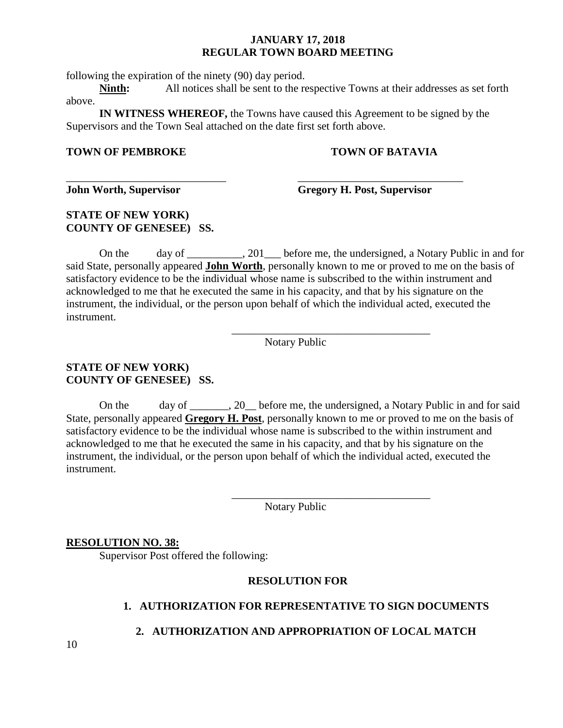following the expiration of the ninety (90) day period.

**Ninth:** All notices shall be sent to the respective Towns at their addresses as set forth above.

**IN WITNESS WHEREOF,** the Towns have caused this Agreement to be signed by the Supervisors and the Town Seal attached on the date first set forth above.

\_\_\_\_\_\_\_\_\_\_\_\_\_\_\_\_\_\_\_\_\_\_\_\_\_\_\_\_\_ \_\_\_\_\_\_\_\_\_\_\_\_\_\_\_\_\_\_\_\_\_\_\_\_\_\_\_\_\_\_

## **TOWN OF PEMBROKE TOWN OF BATAVIA**

**John Worth, Supervisor Gregory H. Post, Supervisor**

# **STATE OF NEW YORK) COUNTY OF GENESEE) SS.**

On the day of \_\_\_\_\_\_\_, 201 before me, the undersigned, a Notary Public in and for said State, personally appeared **John Worth**, personally known to me or proved to me on the basis of satisfactory evidence to be the individual whose name is subscribed to the within instrument and acknowledged to me that he executed the same in his capacity, and that by his signature on the instrument, the individual, or the person upon behalf of which the individual acted, executed the instrument.

Notary Public

\_\_\_\_\_\_\_\_\_\_\_\_\_\_\_\_\_\_\_\_\_\_\_\_\_\_\_\_\_\_\_\_\_\_\_\_

\_\_\_\_\_\_\_\_\_\_\_\_\_\_\_\_\_\_\_\_\_\_\_\_\_\_\_\_\_\_\_\_\_\_\_\_

# **STATE OF NEW YORK) COUNTY OF GENESEE) SS.**

On the day of 20 before me, the undersigned, a Notary Public in and for said State, personally appeared **Gregory H. Post**, personally known to me or proved to me on the basis of satisfactory evidence to be the individual whose name is subscribed to the within instrument and acknowledged to me that he executed the same in his capacity, and that by his signature on the instrument, the individual, or the person upon behalf of which the individual acted, executed the instrument.

Notary Public

## **RESOLUTION NO. 38:**

Supervisor Post offered the following:

# **RESOLUTION FOR**

# **1. AUTHORIZATION FOR REPRESENTATIVE TO SIGN DOCUMENTS**

# **2. AUTHORIZATION AND APPROPRIATION OF LOCAL MATCH**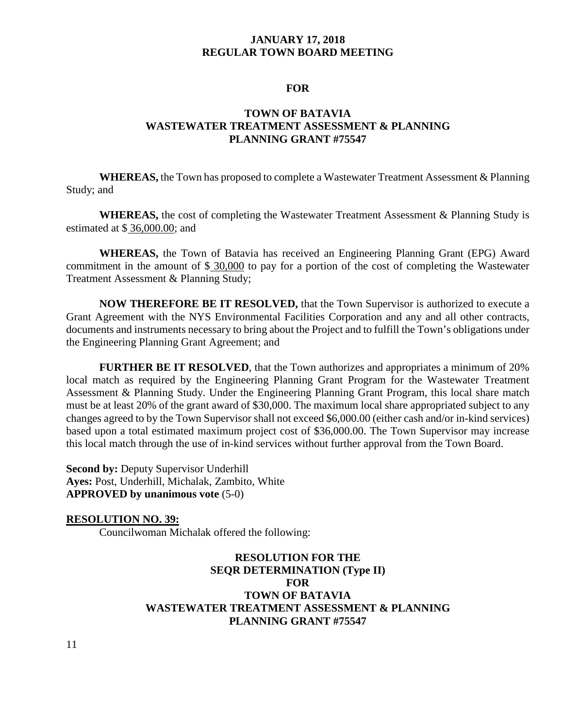#### **FOR**

# **TOWN OF BATAVIA WASTEWATER TREATMENT ASSESSMENT & PLANNING PLANNING GRANT #75547**

**WHEREAS,** the Town has proposed to complete a Wastewater Treatment Assessment & Planning Study; and

**WHEREAS,** the cost of completing the Wastewater Treatment Assessment & Planning Study is estimated at \$ 36,000.00; and

**WHEREAS,** the Town of Batavia has received an Engineering Planning Grant (EPG) Award commitment in the amount of \$ 30,000 to pay for a portion of the cost of completing the Wastewater Treatment Assessment & Planning Study;

**NOW THEREFORE BE IT RESOLVED,** that the Town Supervisor is authorized to execute a Grant Agreement with the NYS Environmental Facilities Corporation and any and all other contracts, documents and instruments necessary to bring about the Project and to fulfill the Town's obligations under the Engineering Planning Grant Agreement; and

**FURTHER BE IT RESOLVED**, that the Town authorizes and appropriates a minimum of 20% local match as required by the Engineering Planning Grant Program for the Wastewater Treatment Assessment & Planning Study. Under the Engineering Planning Grant Program, this local share match must be at least 20% of the grant award of \$30,000. The maximum local share appropriated subject to any changes agreed to by the Town Supervisor shall not exceed \$6,000.00 (either cash and/or in-kind services) based upon a total estimated maximum project cost of \$36,000.00. The Town Supervisor may increase this local match through the use of in-kind services without further approval from the Town Board.

**Second by:** Deputy Supervisor Underhill **Ayes:** Post, Underhill, Michalak, Zambito, White **APPROVED by unanimous vote** (5-0)

#### **RESOLUTION NO. 39:**

Councilwoman Michalak offered the following:

# **RESOLUTION FOR THE SEQR DETERMINATION (Type II) FOR TOWN OF BATAVIA WASTEWATER TREATMENT ASSESSMENT & PLANNING PLANNING GRANT #75547**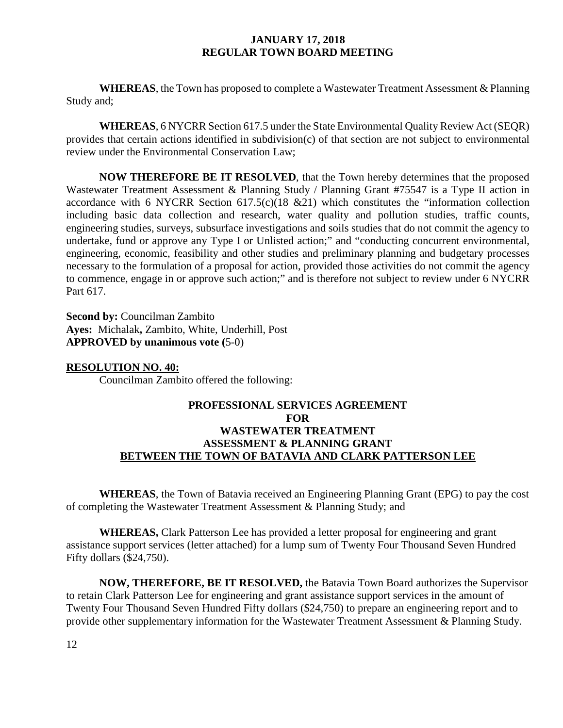**WHEREAS**, the Town has proposed to complete a Wastewater Treatment Assessment & Planning Study and;

**WHEREAS**, 6 NYCRR Section 617.5 under the State Environmental Quality Review Act (SEQR) provides that certain actions identified in subdivision(c) of that section are not subject to environmental review under the Environmental Conservation Law;

**NOW THEREFORE BE IT RESOLVED**, that the Town hereby determines that the proposed Wastewater Treatment Assessment & Planning Study / Planning Grant #75547 is a Type II action in accordance with 6 NYCRR Section  $617.5(c)(18 \& 21)$  which constitutes the "information collection including basic data collection and research, water quality and pollution studies, traffic counts, engineering studies, surveys, subsurface investigations and soils studies that do not commit the agency to undertake, fund or approve any Type I or Unlisted action;" and "conducting concurrent environmental, engineering, economic, feasibility and other studies and preliminary planning and budgetary processes necessary to the formulation of a proposal for action, provided those activities do not commit the agency to commence, engage in or approve such action;" and is therefore not subject to review under 6 NYCRR Part 617.

**Second by:** Councilman Zambito **Ayes:** Michalak**,** Zambito, White, Underhill, Post **APPROVED by unanimous vote (**5-0)

#### **RESOLUTION NO. 40:**

Councilman Zambito offered the following:

# **PROFESSIONAL SERVICES AGREEMENT FOR WASTEWATER TREATMENT ASSESSMENT & PLANNING GRANT BETWEEN THE TOWN OF BATAVIA AND CLARK PATTERSON LEE**

**WHEREAS**, the Town of Batavia received an Engineering Planning Grant (EPG) to pay the cost of completing the Wastewater Treatment Assessment & Planning Study; and

**WHEREAS,** Clark Patterson Lee has provided a letter proposal for engineering and grant assistance support services (letter attached) for a lump sum of Twenty Four Thousand Seven Hundred Fifty dollars (\$24,750).

**NOW, THEREFORE, BE IT RESOLVED,** the Batavia Town Board authorizes the Supervisor to retain Clark Patterson Lee for engineering and grant assistance support services in the amount of Twenty Four Thousand Seven Hundred Fifty dollars (\$24,750) to prepare an engineering report and to provide other supplementary information for the Wastewater Treatment Assessment & Planning Study.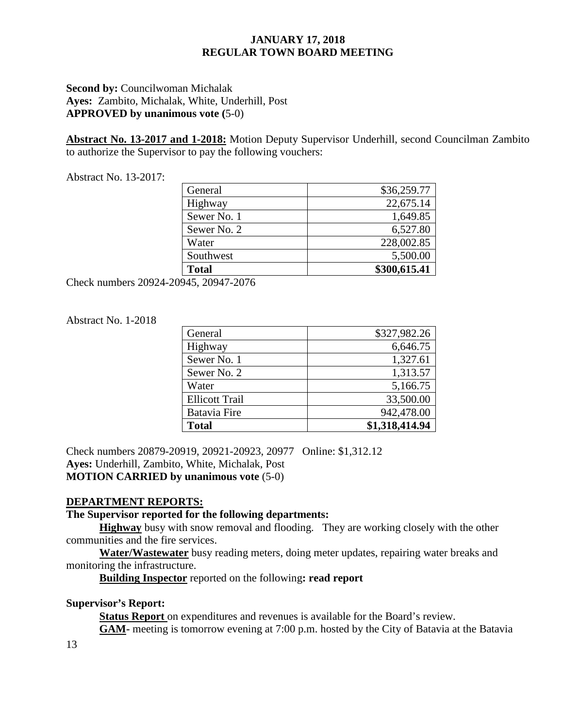# **Second by: Councilwoman Michalak Ayes:** Zambito, Michalak, White, Underhill, Post **APPROVED by unanimous vote (**5-0)

**Abstract No. 13-2017 and 1-2018:** Motion Deputy Supervisor Underhill, second Councilman Zambito to authorize the Supervisor to pay the following vouchers:

Abstract No. 13-2017:

| General      | \$36,259.77  |
|--------------|--------------|
| Highway      | 22,675.14    |
| Sewer No. 1  | 1,649.85     |
| Sewer No. 2  | 6,527.80     |
| Water        | 228,002.85   |
| Southwest    | 5,500.00     |
| <b>Total</b> | \$300,615.41 |

Check numbers 20924-20945, 20947-2076

## Abstract No. 1-2018

| General               | \$327,982.26   |
|-----------------------|----------------|
| Highway               | 6,646.75       |
| Sewer No. 1           | 1,327.61       |
| Sewer No. 2           | 1,313.57       |
| Water                 | 5,166.75       |
| <b>Ellicott Trail</b> | 33,500.00      |
| <b>Batavia Fire</b>   | 942,478.00     |
| <b>Total</b>          | \$1,318,414.94 |

Check numbers 20879-20919, 20921-20923, 20977 Online: \$1,312.12 **Ayes:** Underhill, Zambito, White, Michalak, Post **MOTION CARRIED by unanimous vote** (5-0)

# **DEPARTMENT REPORTS:**

## **The Supervisor reported for the following departments:**

**Highway** busy with snow removal and flooding. They are working closely with the other communities and the fire services.

**Water/Wastewater** busy reading meters, doing meter updates, repairing water breaks and monitoring the infrastructure.

**Building Inspector** reported on the following**: read report**

## **Supervisor's Report:**

Status Report on expenditures and revenues is available for the Board's review.

**GAM-** meeting is tomorrow evening at 7:00 p.m. hosted by the City of Batavia at the Batavia